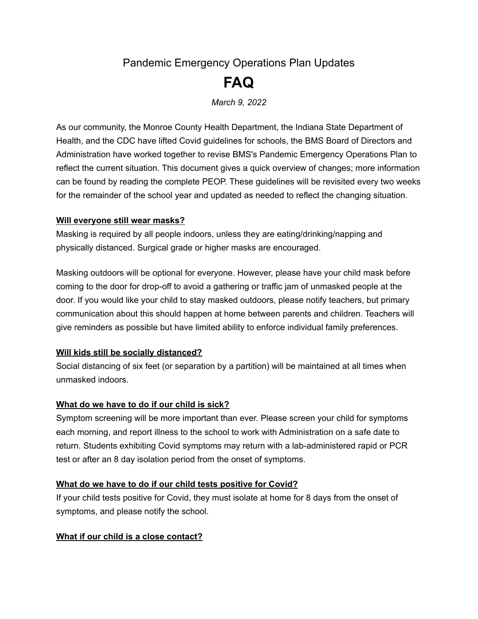# Pandemic Emergency Operations Plan Updates **FAQ**

*March 9, 2022*

As our community, the Monroe County Health Department, the Indiana State Department of Health, and the CDC have lifted Covid guidelines for schools, the BMS Board of Directors and Administration have worked together to revise BMS's Pandemic Emergency Operations Plan to reflect the current situation. This document gives a quick overview of changes; more information can be found by reading the complete PEOP. These guidelines will be revisited every two weeks for the remainder of the school year and updated as needed to reflect the changing situation.

#### **Will everyone still wear masks?**

Masking is required by all people indoors, unless they are eating/drinking/napping and physically distanced. Surgical grade or higher masks are encouraged.

Masking outdoors will be optional for everyone. However, please have your child mask before coming to the door for drop-off to avoid a gathering or traffic jam of unmasked people at the door. If you would like your child to stay masked outdoors, please notify teachers, but primary communication about this should happen at home between parents and children. Teachers will give reminders as possible but have limited ability to enforce individual family preferences.

# **Will kids still be socially distanced?**

Social distancing of six feet (or separation by a partition) will be maintained at all times when unmasked indoors.

# **What do we have to do if our child is sick?**

Symptom screening will be more important than ever. Please screen your child for symptoms each morning, and report illness to the school to work with Administration on a safe date to return. Students exhibiting Covid symptoms may return with a lab-administered rapid or PCR test or after an 8 day isolation period from the onset of symptoms.

# **What do we have to do if our child tests positive for Covid?**

If your child tests positive for Covid, they must isolate at home for 8 days from the onset of symptoms, and please notify the school.

# **What if our child is a close contact?**